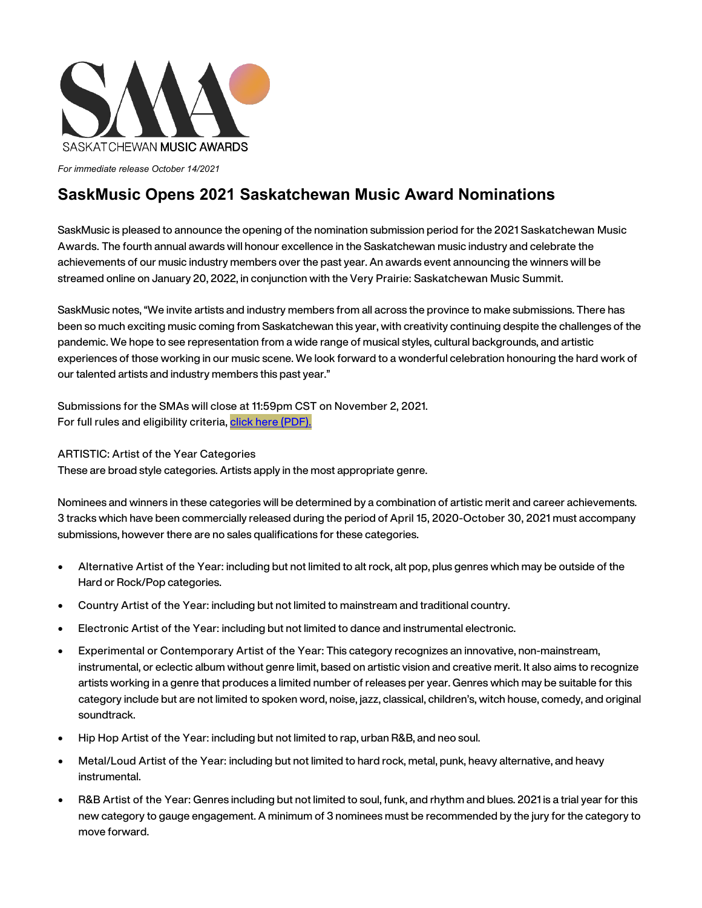

*For immediate release October 14/2021*

## **SaskMusic Opens 2021 Saskatchewan Music Award Nominations**

SaskMusic is pleased to announce the opening of the nomination submission period for the 2021 Saskatchewan Music Awards. The fourth annual awards will honour excellence in the Saskatchewan music industry and celebrate the achievements of our music industry members over the past year. An awards event announcing the winners will be streamed online on January 20, 2022, in conjunction with the Very Prairie: Saskatchewan Music Summit.

SaskMusic notes, "We invite artists and industry members from all across the province to make submissions. There has been so much exciting music coming from Saskatchewan this year, with creativity continuing despite the challenges of the pandemic. We hope to see representation from a wide range of musical styles, cultural backgrounds, and artistic experiences of those working in our music scene. We look forward to a wonderful celebration honouring the hard work of our talented artists and industry members this past year."

Submissions for the SMAs will close at 11:59pm CST on November 2, 2021. For full rules and eligibility criteria, click here [\(PDF\).](https://a2d0cf61-2fde-412d-993d-966a0d11404e.filesusr.com/ugd/7fdf4e_c33269b8d69349ab8323154474323ab9.pdf)

ARTISTIC: Artist of the Year Categories

These are broad style categories. Artists apply in the most appropriate genre.

Nominees and winners in these categories will be determined by a combination of artistic merit and career achievements. 3 tracks which have been commercially released during the period of April 15, 2020-October 30, 2021 must accompany submissions, however there are no sales qualifications for these categories.

- Alternative Artist of the Year: including but not limited to alt rock, alt pop, plus genres which may be outside of the Hard or Rock/Pop categories.
- Country Artist of the Year: including but not limited to mainstream and traditional country.
- Electronic Artist of the Year: including but not limited to dance and instrumental electronic.
- Experimental or Contemporary Artist of the Year: This category recognizes an innovative, non-mainstream, instrumental, or eclectic album without genre limit, based on artistic vision and creative merit. It also aims to recognize artists working in a genre that produces a limited number of releases per year. Genres which may be suitable for this category include but are not limited to spoken word, noise, jazz, classical, children's, witch house, comedy, and original soundtrack.
- Hip Hop Artist of the Year: including but not limited to rap, urban R&B, and neo soul.
- Metal/Loud Artist of the Year: including but not limited to hard rock, metal, punk, heavy alternative, and heavy instrumental.
- R&B Artist of the Year: Genres including but not limited to soul, funk, and rhythm and blues. 2021 is a trial year for this new category to gauge engagement. A minimum of 3 nominees must be recommended by the jury for the category to move forward.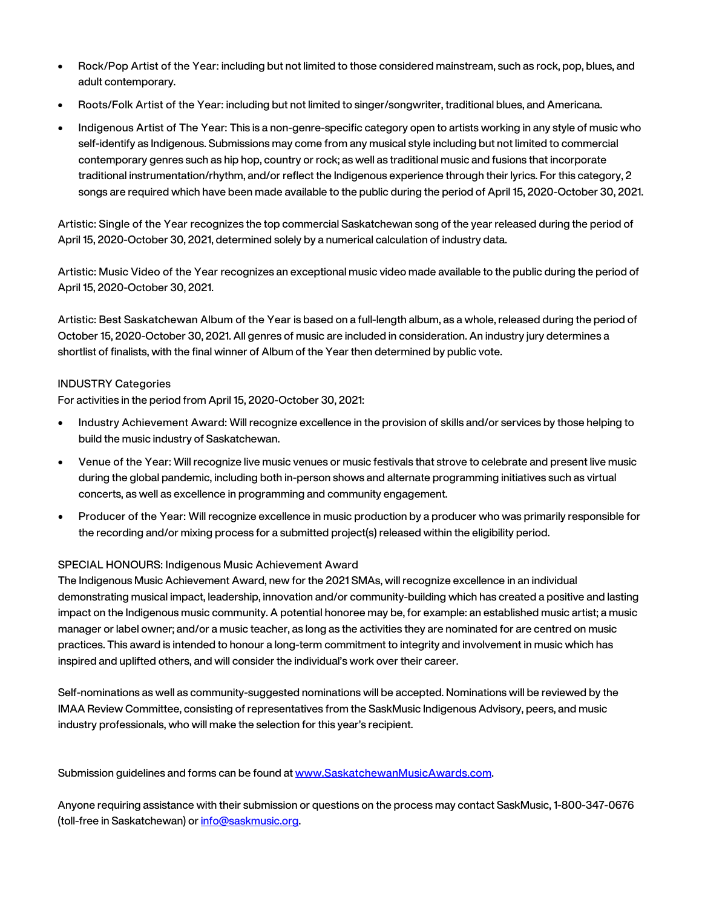- Rock/Pop Artist of the Year: including but not limited to those considered mainstream, such as rock, pop, blues, and adult contemporary.
- Roots/Folk Artist of the Year: including but not limited to singer/songwriter, traditional blues, and Americana.
- Indigenous Artist of The Year: This is a non-genre-specific category open to artists working in any style of music who self-identify as Indigenous. Submissions may come from any musical style including but not limited to commercial contemporary genres such as hip hop, country or rock; as well as traditional music and fusions that incorporate traditional instrumentation/rhythm, and/or reflect the Indigenous experience through their lyrics. For this category, 2 songs are required which have been made available to the public during the period of April 15, 2020-October 30, 2021.

Artistic: Single of the Year recognizes the top commercial Saskatchewan song of the year released during the period of April 15, 2020-October 30, 2021, determined solely by a numerical calculation of industry data.

Artistic: Music Video of the Year recognizes an exceptional music video made available to the public during the period of April 15, 2020-October 30, 2021.

Artistic: Best Saskatchewan Album of the Year is based on a full-length album, as a whole, released during the period of October 15, 2020-October 30, 2021. All genres of music are included in consideration. An industry jury determines a shortlist of finalists, with the final winner of Album of the Year then determined by public vote.

## INDUSTRY Categories

For activities in the period from April 15, 2020-October 30, 2021:

- Industry Achievement Award: Will recognize excellence in the provision of skills and/or services by those helping to build the music industry of Saskatchewan.
- Venue of the Year: Will recognize live music venues or music festivals that strove to celebrate and present live music during the global pandemic, including both in-person shows and alternate programming initiatives such as virtual concerts, as well as excellence in programming and community engagement.
- Producer of the Year: Will recognize excellence in music production by a producer who was primarily responsible for the recording and/or mixing process for a submitted project(s) released within the eligibility period.

## SPECIAL HONOURS: Indigenous Music Achievement Award

The Indigenous Music Achievement Award, new for the 2021 SMAs, will recognize excellence in an individual demonstrating musical impact, leadership, innovation and/or community-building which has created a positive and lasting impact on the Indigenous music community. A potential honoree may be, for example: an established music artist; a music manager or label owner; and/or a music teacher, as long as the activities they are nominated for are centred on music practices. This award is intended to honour a long-term commitment to integrity and involvement in music which has inspired and uplifted others, and will consider the individual's work over their career.

Self-nominations as well as community-suggested nominations will be accepted. Nominations will be reviewed by the IMAA Review Committee, consisting of representatives from the SaskMusic Indigenous Advisory, peers, and music industry professionals, who will make the selection for this year's recipient.

Submission guidelines and forms can be found a[t www.SaskatchewanMusicAwards.com.](http://www.saskatchewanmusicawards.com/)

Anyone requiring assistance with their submission or questions on the process may contact SaskMusic, 1-800-347-0676 (toll-free in Saskatchewan) o[r info@saskmusic.org.](mailto:info@saskmusic.org)